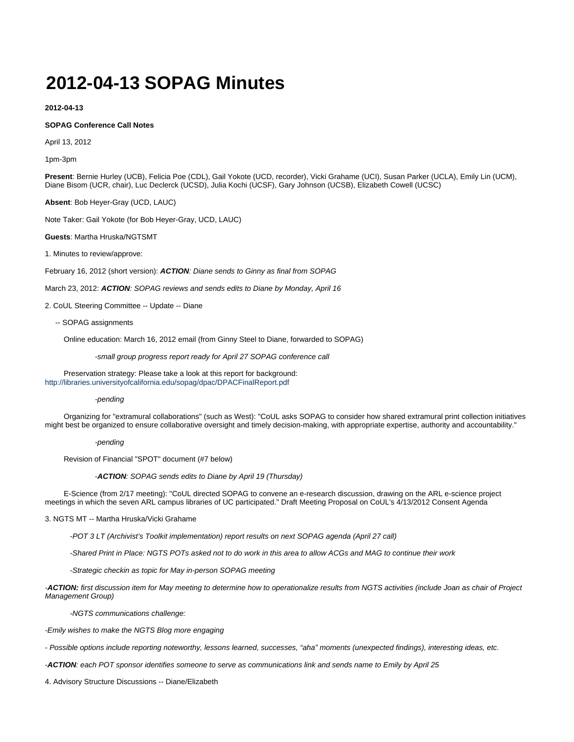## **2012-04-13 SOPAG Minutes**

**2012-04-13**

## **SOPAG Conference Call Notes**

April 13, 2012

1pm-3pm

**Present**: Bernie Hurley (UCB), Felicia Poe (CDL), Gail Yokote (UCD, recorder), Vicki Grahame (UCI), Susan Parker (UCLA), Emily Lin (UCM), Diane Bisom (UCR, chair), Luc Declerck (UCSD), Julia Kochi (UCSF), Gary Johnson (UCSB), Elizabeth Cowell (UCSC)

**Absent**: Bob Heyer-Gray (UCD, LAUC)

Note Taker: Gail Yokote (for Bob Heyer-Gray, UCD, LAUC)

**Guests**: Martha Hruska/NGTSMT

1. Minutes to review/approve:

February 16, 2012 (short version): **ACTION**: Diane sends to Ginny as final from SOPAG

March 23, 2012: **ACTION**: SOPAG reviews and sends edits to Diane by Monday, April 16

2. CoUL Steering Committee -- Update -- Diane

-- SOPAG assignments

Online education: March 16, 2012 email (from Ginny Steel to Diane, forwarded to SOPAG)

-small group progress report ready for April 27 SOPAG conference call

 Preservation strategy: Please take a look at this report for background: <http://libraries.universityofcalifornia.edu/sopag/dpac/DPACFinalReport.pdf>

## -pending

 Organizing for "extramural collaborations" (such as West): "CoUL asks SOPAG to consider how shared extramural print collection initiatives might best be organized to ensure collaborative oversight and timely decision-making, with appropriate expertise, authority and accountability."

-pending

Revision of Financial "SPOT" document (#7 below)

-**ACTION**: SOPAG sends edits to Diane by April 19 (Thursday)

 E-Science (from 2/17 meeting): "CoUL directed SOPAG to convene an e-research discussion, drawing on the ARL e-science project meetings in which the seven ARL campus libraries of UC participated." Draft Meeting Proposal on CoUL's 4/13/2012 Consent Agenda

3. NGTS MT -- Martha Hruska/Vicki Grahame

-POT 3 LT (Archivist's Toolkit implementation) report results on next SOPAG agenda (April 27 call)

-Shared Print in Place: NGTS POTs asked not to do work in this area to allow ACGs and MAG to continue their work

-Strategic checkin as topic for May in-person SOPAG meeting

-**ACTION:** first discussion item for May meeting to determine how to operationalize results from NGTS activities (include Joan as chair of Project Management Group)

-NGTS communications challenge:

-Emily wishes to make the NGTS Blog more engaging

- Possible options include reporting noteworthy, lessons learned, successes, "aha" moments (unexpected findings), interesting ideas, etc.

-**ACTION**: each POT sponsor identifies someone to serve as communications link and sends name to Emily by April 25

4. Advisory Structure Discussions -- Diane/Elizabeth